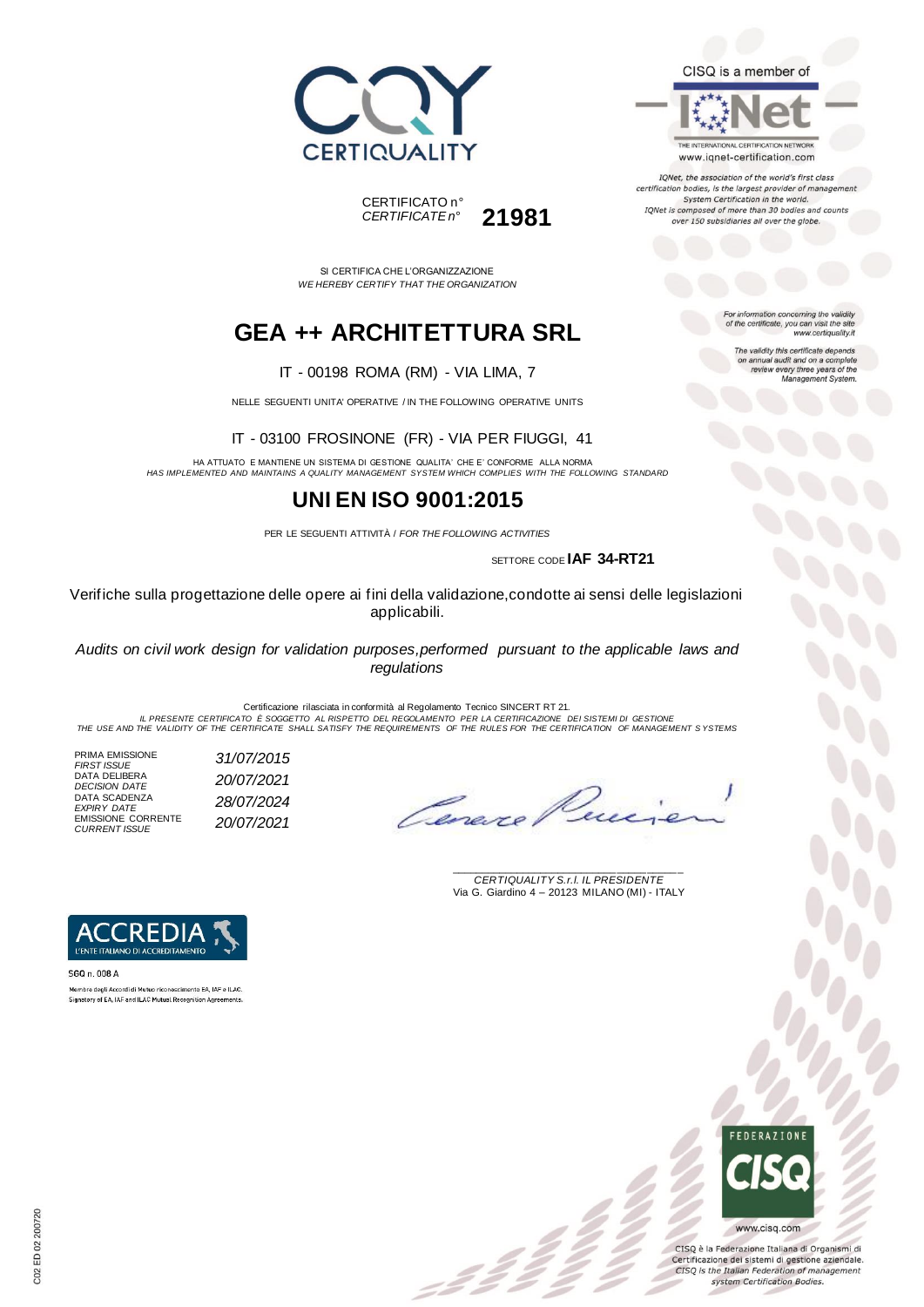



SI CERTIFICA CHE L'ORGANIZZAZIONE *WE HEREBY CERTIFY THAT THE ORGANIZATION*

### **GEA ++ ARCHITETTURA SRL**

IT - 00198 ROMA (RM) - VIA LIMA, 7

NELLE SEGUENTI UNITA' OPERATIVE / IN THE FOLLOWING OPERATIVE UNITS

IT - 03100 FROSINONE (FR) - VIA PER FIUGGI, 41

HA ATTUATO E MANTIENE UN SISTEMA DI GESTIONE QUALITA' CHE E' CONFORME ALLA NORMA *HAS IMPLEMENTED AND MAINTAINS A QUALITY MANAGEMENT SYSTEM WHICH COMPLIES WITH THE FOLLOWING STANDARD*

### **UNI EN ISO 9001:2015**

PER LE SEGUENTI ATTIVITÀ / *FOR THE FOLLOWING ACTIVITIES*

SETTORE CODE **IAF 34-RT21**

Verifiche sulla progettazione delle opere ai fini della validazione,condotte ai sensi delle legislazioni applicabili.

*Audits on civil work design for validation purposes,performed pursuant to the applicable laws and regulations*

Certificazione rilasciata in conformità al Regolamento Tecnico SINCERT RT 21.

 $\mathcal{L}$ 

IL PRESENTE CERTIFICATO E SOGGETTO AL RISPETTO DEL REGOLAMENTO PER LA CERTIFICAZIONE DEI SISTEMI DI GESTIONE<br>THE USE AND THE VALIDITY OF THE CERTIFICATE SHALL SATISFY THE REQUIREMENTS OF THE RULES FOR THE CERTIFICATION OF

Cerexe

\_\_\_\_\_\_\_\_\_\_\_\_\_\_\_\_\_\_\_\_\_\_\_\_\_\_\_\_\_\_\_\_\_\_\_\_\_\_\_ *CERTIQUALITY S.r.l. IL PRESIDENTE* Via G. Giardino 4 – 20123 MILANO (MI) - ITALY



**REDI** L'ENTE ITALIANO DI ACCREDITAMENTO

SGQ n. 008 A Membro degli Accordi di Mutuo riconoscimento EA, IAF e ILAC Signatory of EA, IAF and ILAC Mutual Recognition Agreements



CISQ è la Federazione Italiana di Organismi di Certificazione dei sistemi di gestione aziendale. CISQ is the Italian Federation of management system Certification Bodies.



For information concerning the validity<br>of the certificate, you can visit the site www.certiquality.it

The validity this certificate depends on annual audit and on a complete<br>review every three years of the<br>Management System.

CISQ is a member of



IQNet, the association of the world's first class certification bodies, is the largest provider of managem System Certification in the world. IQNet is composed of more than 30 bodies and counts over 150 subsidiaries all over the globe.